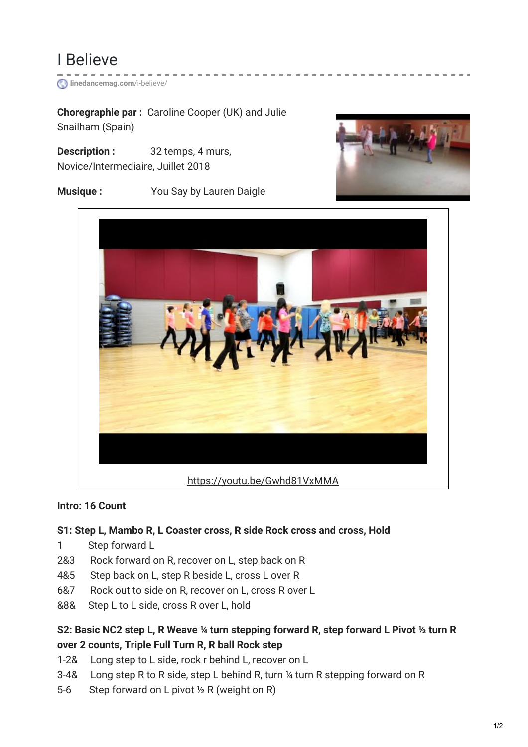

**[linedancemag.com](https://www.linedancemag.com/i-believe/)**/i-believe/

**Choregraphie par :** Caroline Cooper (UK) and Julie Snailham (Spain)

**Description :** 32 temps, 4 murs, Novice/Intermediaire, Juillet 2018

**Musique :** You Say by Lauren Daigle





### **Intro: 16 Count**

## **S1: Step L, Mambo R, L Coaster cross, R side Rock cross and cross, Hold**

- 1 Step forward L
- 2&3 Rock forward on R, recover on L, step back on R
- 4&5 Step back on L, step R beside L, cross L over R
- 6&7 Rock out to side on R, recover on L, cross R over L
- &8& Step L to L side, cross R over L, hold

## **S2: Basic NC2 step L, R Weave ¼ turn stepping forward R, step forward L Pivot ½ turn R over 2 counts, Triple Full Turn R, R ball Rock step**

- 1-2& Long step to L side, rock r behind L, recover on L
- 3-4& Long step R to R side, step L behind R, turn ¼ turn R stepping forward on R
- 5-6 Step forward on L pivot ½ R (weight on R)